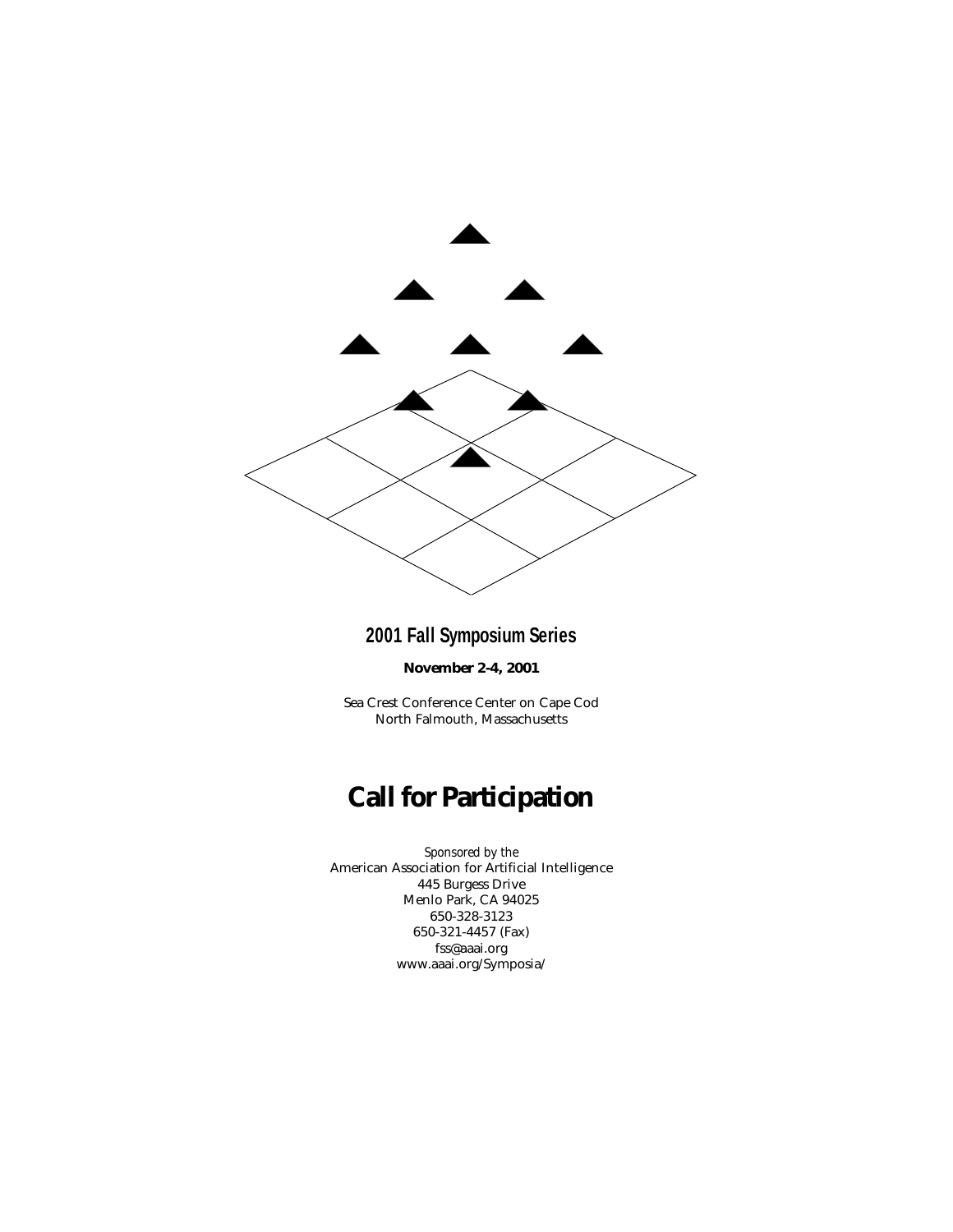

### **2001 Fall Symposium Series**

**November 2-4, 2001**

Sea Crest Conference Center on Cape Cod North Falmouth, Massachusetts

# **Call for Participation**

*Sponsored by the* American Association for Artificial Intelligence 445 Burgess Drive Menlo Park, CA 94025 650-328-3123 650-321-4457 (Fax) fss@aaai.org www.aaai.org/Symposia/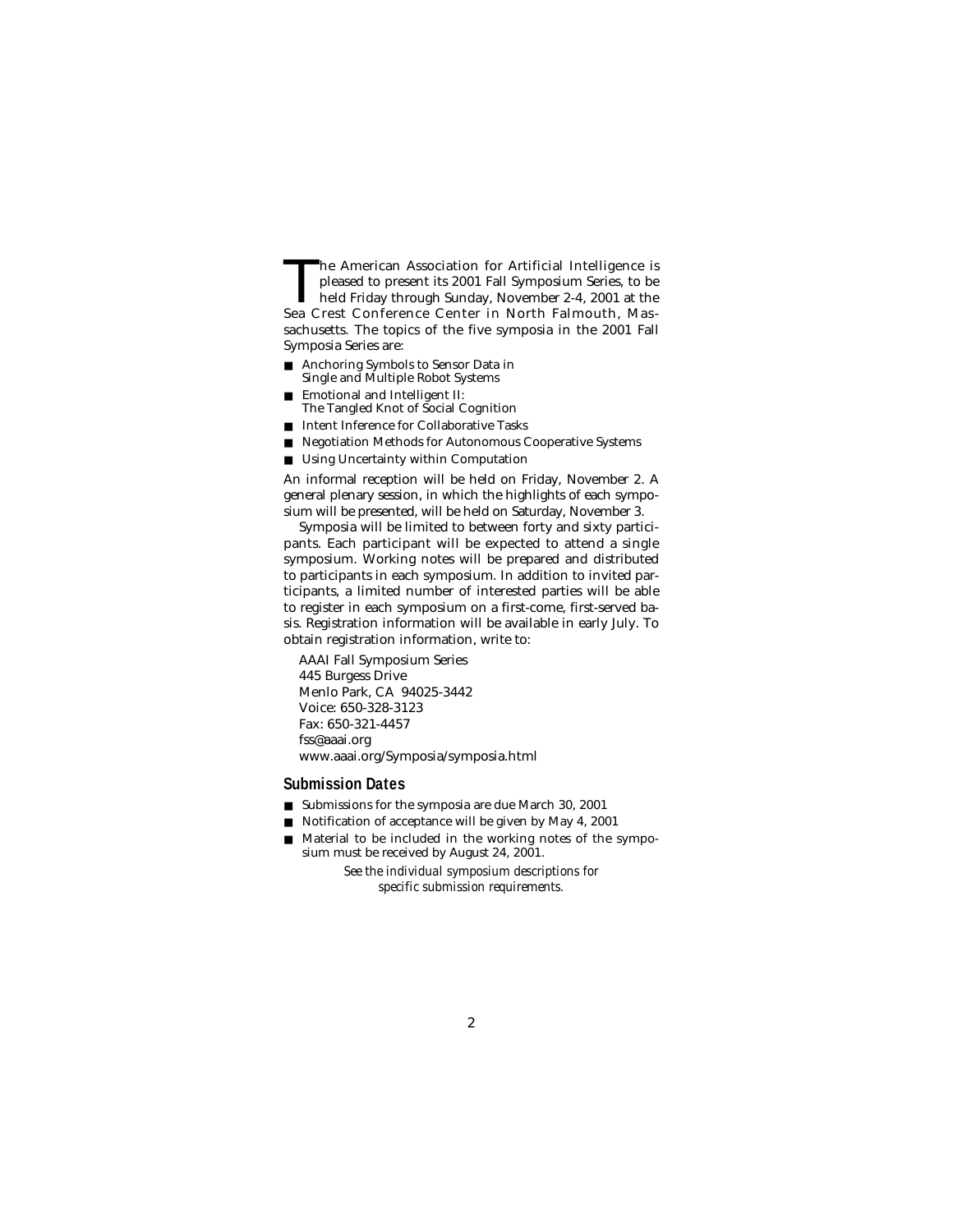The American Association for Artificial Intelligence is<br>pleased to present its 2001 Fall Symposium Series, to be<br>held Friday through Sunday, November 2-4, 2001 at the<br>Sea Crest Conference Center in North Falmouth. Maspleased to present its 2001 Fall Symposium Series, to be Sea Crest Conference Center in North Falmouth, Massachusetts. The topics of the five symposia in the 2001 Fall Symposia Series are:

- Anchoring Symbols to Sensor Data in Single and Multiple Robot Systems
- Emotional and Intelligent II:
- The Tangled Knot of Social Cognition
- Intent Inference for Collaborative Tasks
- Negotiation Methods for Autonomous Cooperative Systems
- Using Uncertainty within Computation

An informal reception will be held on Friday, November 2. A general plenary session, in which the highlights of each symposium will be presented, will be held on Saturday, November 3.

Symposia will be limited to between forty and sixty participants. Each participant will be expected to attend a single symposium. Working notes will be prepared and distributed to participants in each symposium. In addition to invited participants, a limited number of interested parties will be able to register in each symposium on a first-come, first-served basis. Registration information will be available in early July. To obtain registration information, write to:

AAAI Fall Symposium Series 445 Burgess Drive Menlo Park, CA 94025-3442 Voice: 650-328-3123 Fax: 650-321-4457 fss@aaai.org www.aaai.org/Symposia/symposia.html

#### **Submission Dates**

- Submissions for the symposia are due March 30, 2001
- Notification of acceptance will be given by May 4, 2001
- Material to be included in the working notes of the symposium must be received by August 24, 2001.

*See the individual symposium descriptions for specific submission requirements.*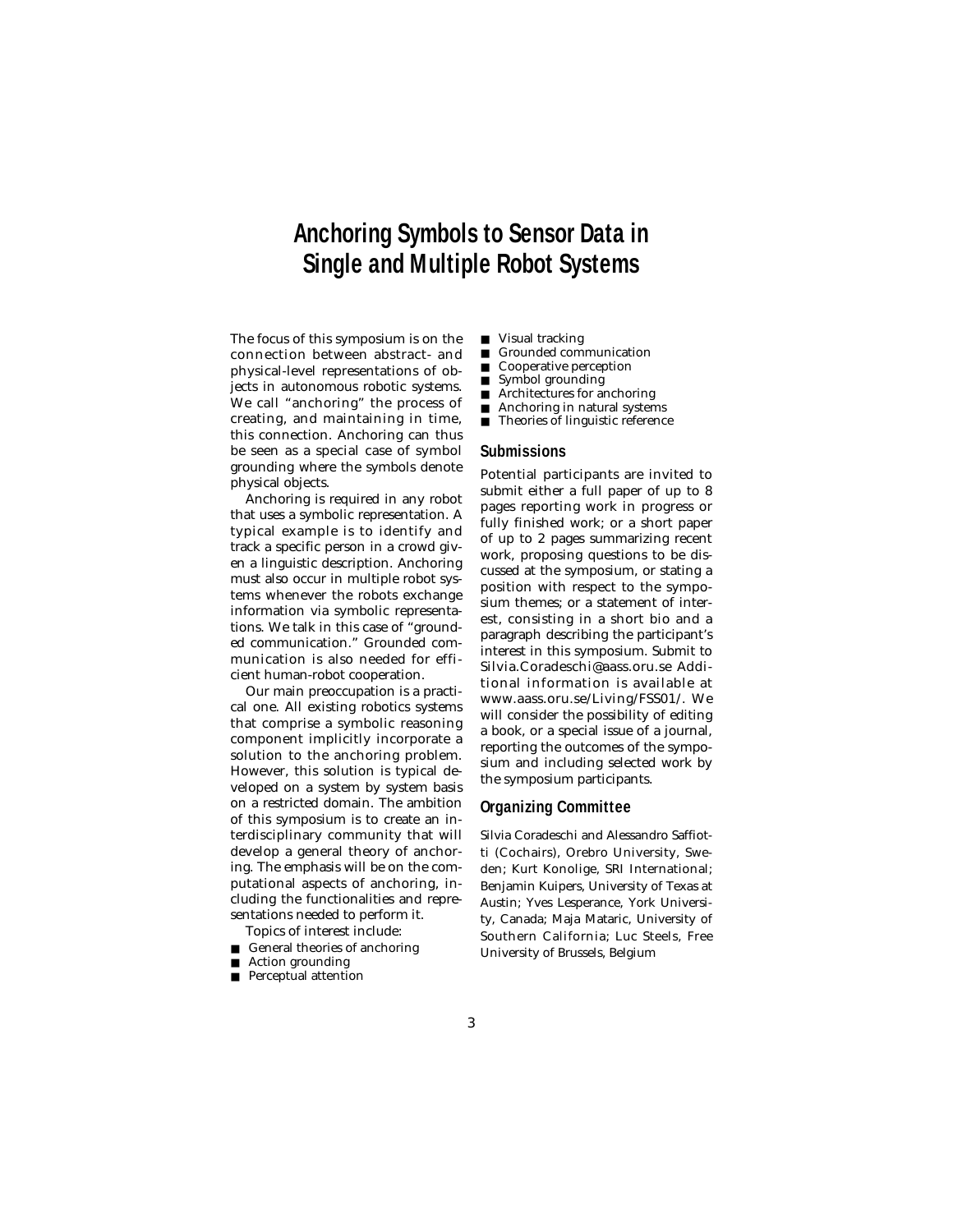# **Anchoring Symbols to Sensor Data in Single and Multiple Robot Systems**

The focus of this symposium is on the connection between abstract- and physical-level representations of objects in autonomous robotic systems. We call "anchoring" the process of creating, and maintaining in time, this connection. Anchoring can thus be seen as a special case of symbol grounding where the symbols denote physical objects.

Anchoring is required in any robot that uses a symbolic representation. A typical example is to identify and track a specific person in a crowd given a linguistic description. Anchoring must also occur in multiple robot systems whenever the robots exchange information via symbolic representations. We talk in this case of "grounded communication." Grounded communication is also needed for efficient human-robot cooperation.

Our main preoccupation is a practical one. All existing robotics systems that comprise a symbolic reasoning component implicitly incorporate a solution to the anchoring problem. However, this solution is typical developed on a system by system basis on a restricted domain. The ambition of this symposium is to create an interdisciplinary community that will develop a general theory of anchoring. The emphasis will be on the computational aspects of anchoring, including the functionalities and representations needed to perform it.

- Topics of interest include: ■ General theories of anchoring
- Action grounding
- 
- Perceptual attention
- Visual tracking
- Grounded communication
- Cooperative perception<br>■ Symbol grounding
- Symbol grounding
- Architectures for anchoring<br>■ Anchoring in natural system
- Anchoring in natural systems
- Theories of linguistic reference

#### **Submissions**

Potential participants are invited to submit either a full paper of up to 8 pages reporting work in progress or fully finished work; or a short paper of up to 2 pages summarizing recent work, proposing questions to be discussed at the symposium, or stating a position with respect to the symposium themes; or a statement of interest, consisting in a short bio and a paragraph describing the participant's interest in this symposium. Submit to Silvia.Coradeschi@aass.oru.se Additional information is available at www.aass.oru.se/Living/FSS01/. We will consider the possibility of editing a book, or a special issue of a journal, reporting the outcomes of the symposium and including selected work by the symposium participants.

#### **Organizing Committee**

Silvia Coradeschi and Alessandro Saffiotti (Cochairs), Orebro University, Sweden; Kurt Konolige, SRI International; Benjamin Kuipers, University of Texas at Austin; Yves Lesperance, York University, Canada; Maja Mataric, University of Southern California; Luc Steels, Free University of Brussels, Belgium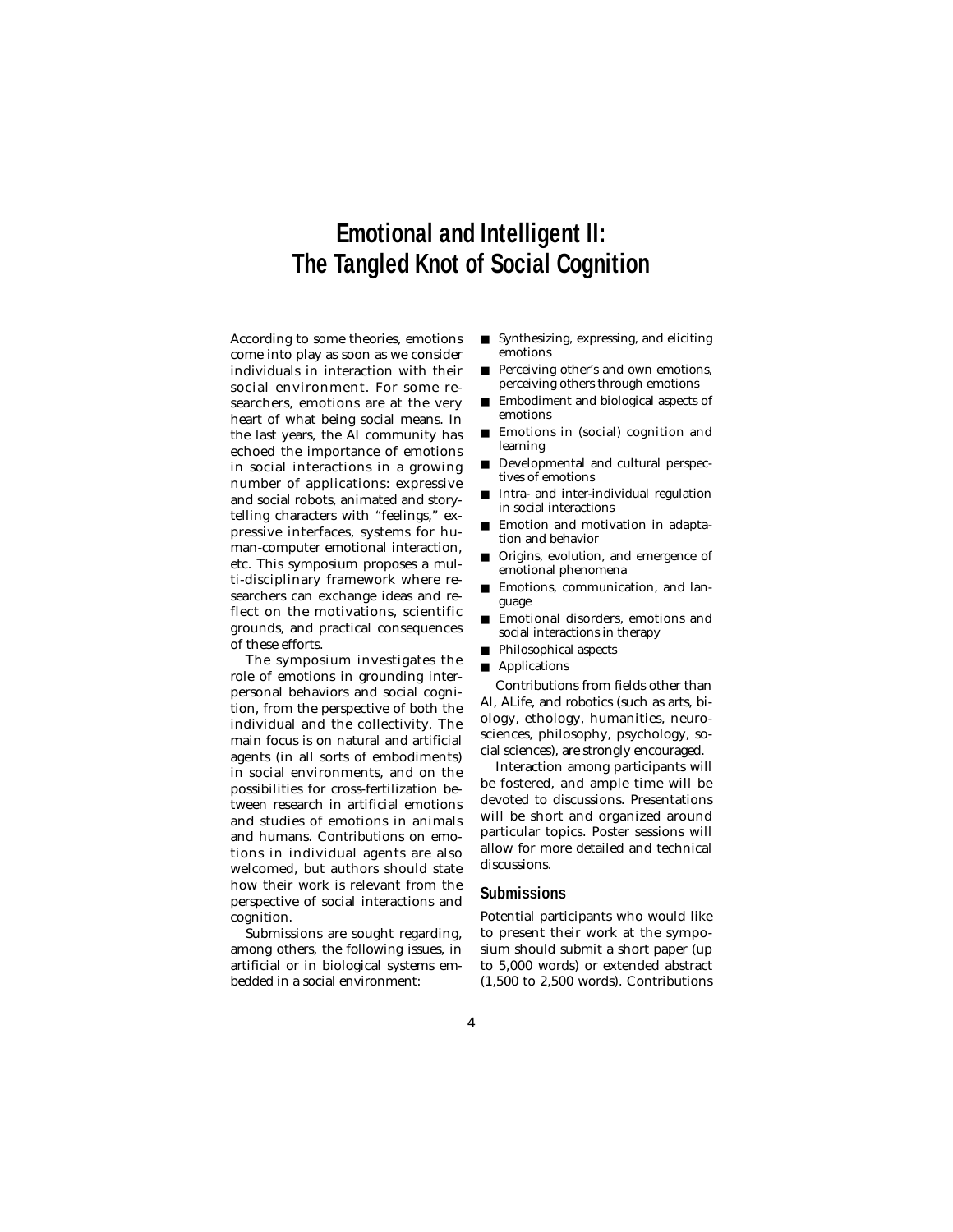# **Emotional and Intelligent II: The Tangled Knot of Social Cognition**

According to some theories, emotions come into play as soon as we consider individuals in interaction with their social environment. For some researchers, emotions are at the very heart of what being social means. In the last years, the AI community has echoed the importance of emotions in social interactions in a growing number of applications: expressive and social robots, animated and storytelling characters with "feelings," expressive interfaces, systems for human-computer emotional interaction, etc. This symposium proposes a multi-disciplinary framework where researchers can exchange ideas and reflect on the motivations, scientific grounds, and practical consequences of these efforts.

The symposium investigates the role of emotions in grounding interpersonal behaviors and social cognition, from the perspective of both the individual and the collectivity. The main focus is on natural and artificial agents (in all sorts of embodiments) in social environments, and on the possibilities for cross-fertilization between research in artificial emotions and studies of emotions in animals and humans. Contributions on emotions in individual agents are also welcomed, but authors should state how their work is relevant from the perspective of social interactions and cognition.

Submissions are sought regarding, among others, the following issues, in artificial or in biological systems embedded in a social environment:

- Synthesizing, expressing, and eliciting emotions
- Perceiving other's and own emotions, perceiving others through emotions
- Embodiment and biological aspects of emotions
- Emotions in (social) cognition and learning
- Developmental and cultural perspectives of emotions
- Intra- and inter-individual regulation in social interactions
- Emotion and motivation in adaptation and behavior
- Origins, evolution, and emergence of emotional phenomena
- Emotions, communication, and language
- Emotional disorders, emotions and social interactions in therapy
- Philosophical aspects
- Applications

Contributions from fields other than AI, ALife, and robotics (such as arts, biology, ethology, humanities, neurosciences, philosophy, psychology, social sciences), are strongly encouraged.

Interaction among participants will be fostered, and ample time will be devoted to discussions. Presentations will be short and organized around particular topics. Poster sessions will allow for more detailed and technical discussions.

### **Submissions**

Potential participants who would like to present their work at the symposium should submit a short paper (up to 5,000 words) or extended abstract (1,500 to 2,500 words). Contributions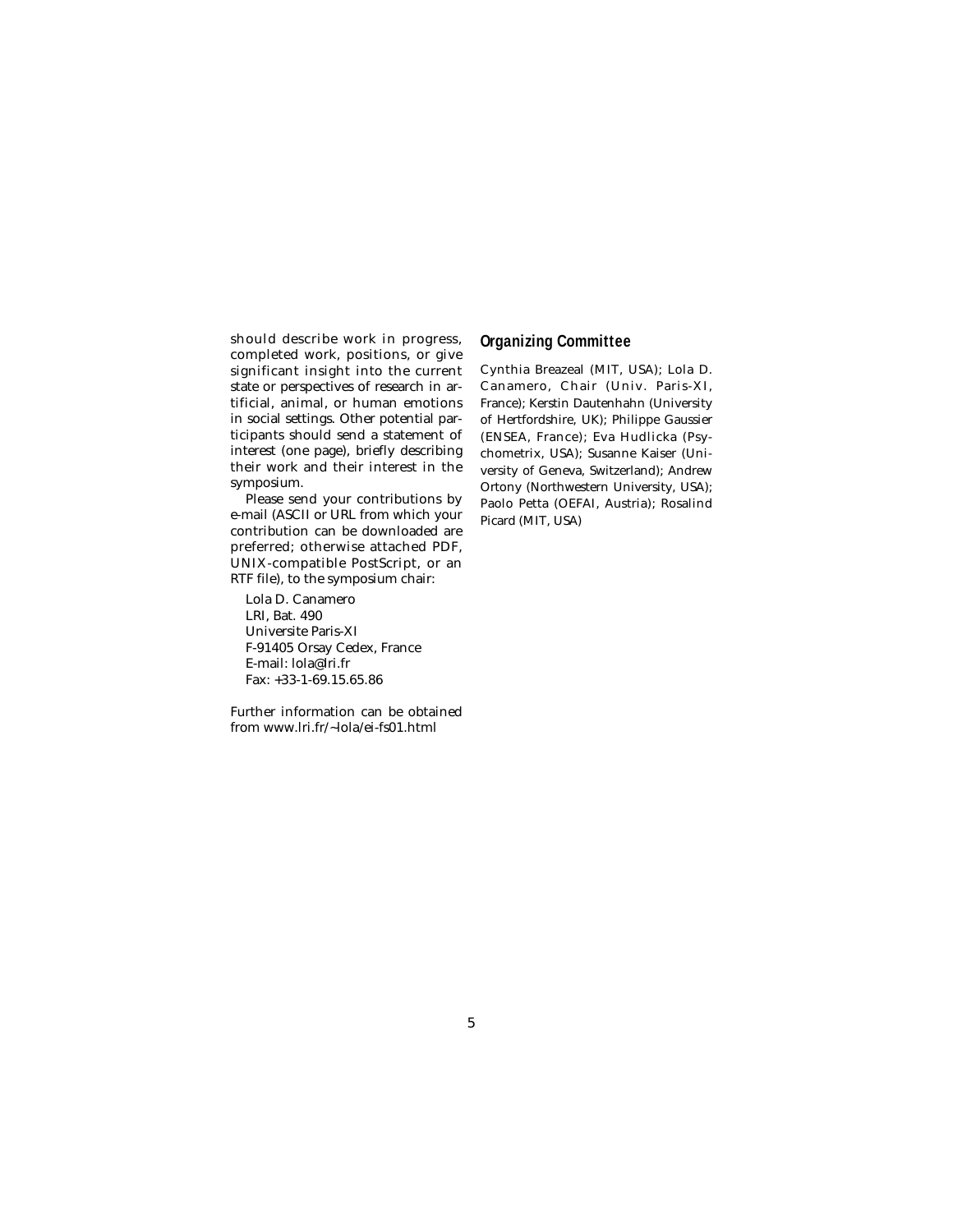should describe work in progress, completed work, positions, or give significant insight into the current state or perspectives of research in artificial, animal, or human emotions in social settings. Other potential participants should send a statement of interest (one page), briefly describing their work and their interest in the symposium.

Please send your contributions by e-mail (ASCII or URL from which your contribution can be downloaded are preferred; otherwise attached PDF, UNIX-compatible PostScript, or an RTF file), to the symposium chair:

Lola D. Canamero LRI, Bat. 490 Universite Paris-XI F-91405 Orsay Cedex, France E-mail: lola@lri.fr Fax: +33-1-69.15.65.86

Further information can be obtained from www.lri.fr/~lola/ei-fs01.html

### **Organizing Committee**

Cynthia Breazeal (MIT, USA); Lola D. Canamero, Chair (Univ. Paris-XI, France); Kerstin Dautenhahn (University of Hertfordshire, UK); Philippe Gaussier (ENSEA, France); Eva Hudlicka (Psychometrix, USA); Susanne Kaiser (University of Geneva, Switzerland); Andrew Ortony (Northwestern University, USA); Paolo Petta (OEFAI, Austria); Rosalind Picard (MIT, USA)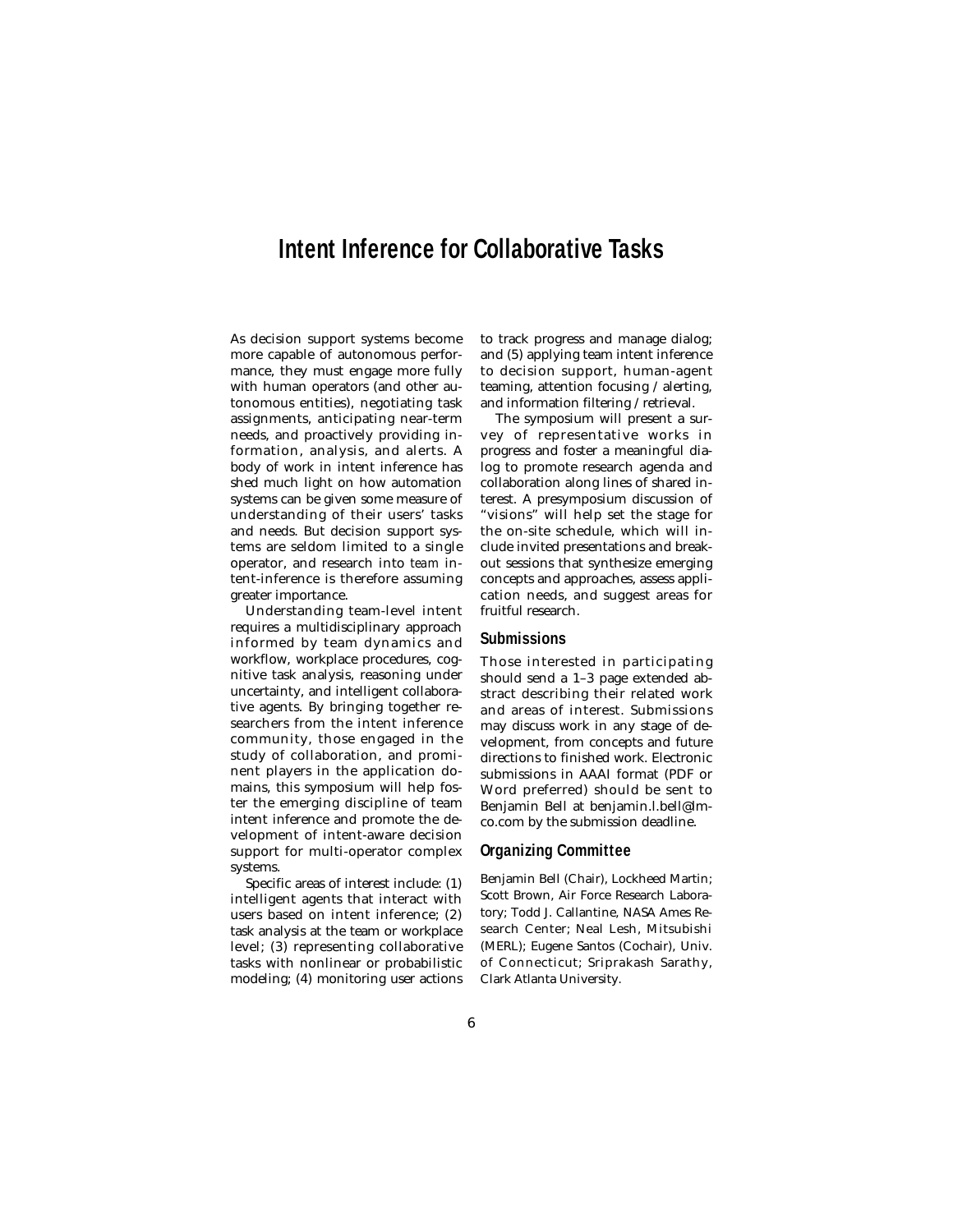## **Intent Inference for Collaborative Tasks**

As decision support systems become more capable of autonomous performance, they must engage more fully with human operators (and other autonomous entities), negotiating task assignments, anticipating near-term needs, and proactively providing information, analysis, and alerts. A body of work in intent inference has shed much light on how automation systems can be given some measure of understanding of their users' tasks and needs. But decision support systems are seldom limited to a single operator, and research into *team* intent-inference is therefore assuming greater importance.

Understanding team-level intent requires a multidisciplinary approach informed by team dynamics and workflow, workplace procedures, cognitive task analysis, reasoning under uncertainty, and intelligent collaborative agents. By bringing together researchers from the intent inference community, those engaged in the study of collaboration, and prominent players in the application domains, this symposium will help foster the emerging discipline of team intent inference and promote the development of intent-aware decision support for multi-operator complex systems.

Specific areas of interest include: (1) intelligent agents that interact with users based on intent inference; (2) task analysis at the team or workplace level; (3) representing collaborative tasks with nonlinear or probabilistic modeling; (4) monitoring user actions to track progress and manage dialog; and (5) applying team intent inference to decision support, human-agent teaming, attention focusing / alerting, and information filtering / retrieval.

The symposium will present a survey of representative works in progress and foster a meaningful dialog to promote research agenda and collaboration along lines of shared interest. A presymposium discussion of "visions" will help set the stage for the on-site schedule, which will include invited presentations and breakout sessions that synthesize emerging concepts and approaches, assess application needs, and suggest areas for fruitful research.

### **Submissions**

Those interested in participating should send a 1–3 page extended abstract describing their related work and areas of interest. Submissions may discuss work in any stage of development, from concepts and future directions to finished work. Electronic submissions in AAAI format (PDF or Word preferred) should be sent to Benjamin Bell at benjamin.l.bell@lmco.com by the submission deadline.

#### **Organizing Committee**

Benjamin Bell (Chair), Lockheed Martin; Scott Brown, Air Force Research Laboratory; Todd J. Callantine, NASA Ames Research Center; Neal Lesh, Mitsubishi (MERL); Eugene Santos (Cochair), Univ. of Connecticut; Sriprakash Sarathy, Clark Atlanta University.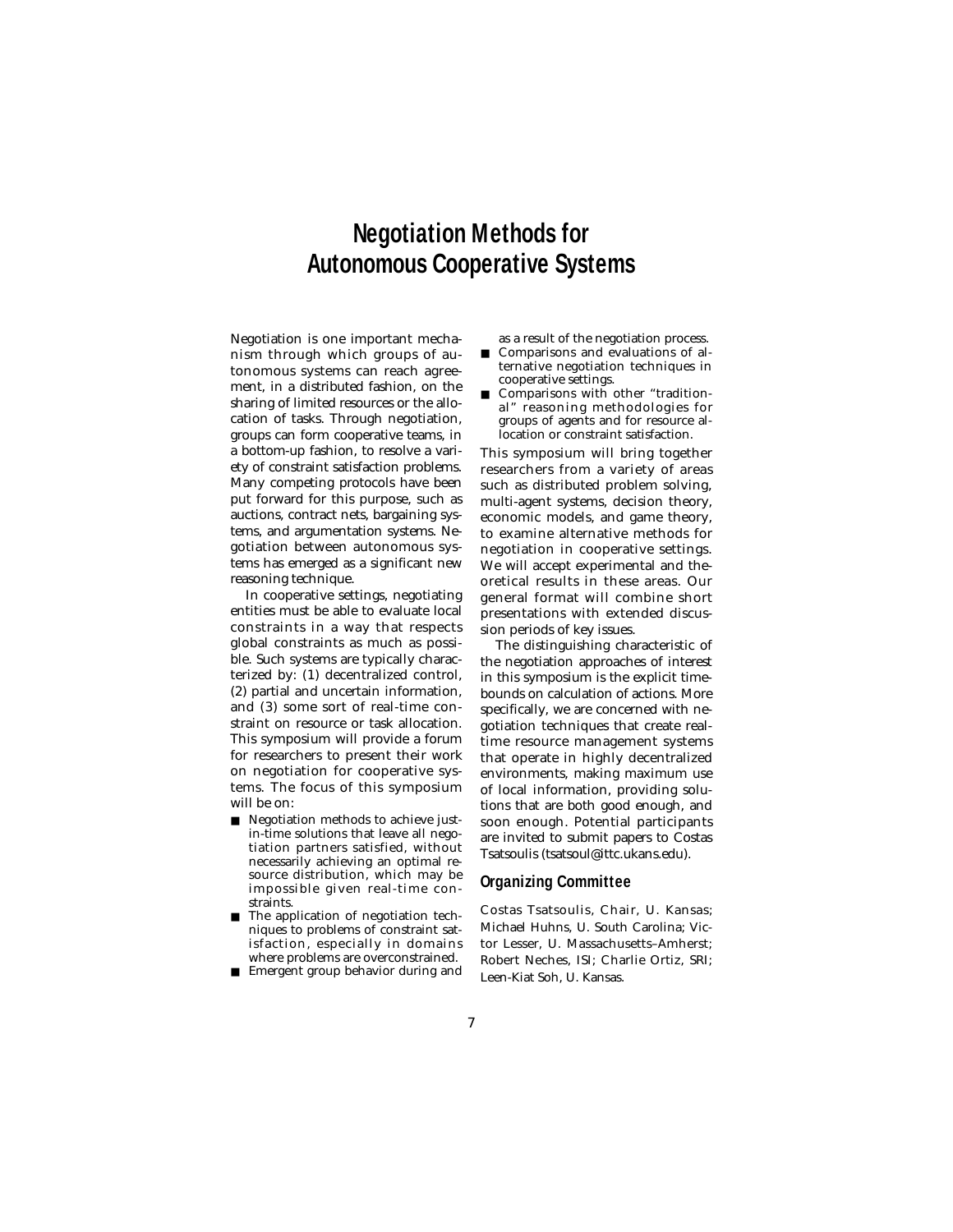# **Negotiation Methods for Autonomous Cooperative Systems**

Negotiation is one important mechanism through which groups of autonomous systems can reach agreement, in a distributed fashion, on the sharing of limited resources or the allocation of tasks. Through negotiation, groups can form cooperative teams, in a bottom-up fashion, to resolve a variety of constraint satisfaction problems. Many competing protocols have been put forward for this purpose, such as auctions, contract nets, bargaining systems, and argumentation systems. Negotiation between autonomous systems has emerged as a significant new reasoning technique.

In cooperative settings, negotiating entities must be able to evaluate local constraints in a way that respects global constraints as much as possible. Such systems are typically characterized by: (1) decentralized control, (2) partial and uncertain information, and (3) some sort of real-time constraint on resource or task allocation. This symposium will provide a forum for researchers to present their work on negotiation for cooperative systems. The focus of this symposium will be on:

- Negotiation methods to achieve justin-time solutions that leave all negotiation partners satisfied, without necessarily achieving an optimal resource distribution, which may be impossible given real-time constraints.
- The application of negotiation techniques to problems of constraint satisfaction, especially in domains where problems are overconstrained.
- Emergent group behavior during and

as a result of the negotiation process.

- Comparisons and evaluations of alternative negotiation techniques in cooperative settings.
- Comparisons with other "traditional" reasoning methodologies for groups of agents and for resource allocation or constraint satisfaction.

This symposium will bring together researchers from a variety of areas such as distributed problem solving, multi-agent systems, decision theory, economic models, and game theory, to examine alternative methods for negotiation in cooperative settings. We will accept experimental and theoretical results in these areas. Our general format will combine short presentations with extended discussion periods of key issues.

The distinguishing characteristic of the negotiation approaches of interest in this symposium is the explicit timebounds on calculation of actions. More specifically, we are concerned with negotiation techniques that create realtime resource management systems that operate in highly decentralized environments, making maximum use of local information, providing solutions that are both good enough, and soon enough. Potential participants are invited to submit papers to Costas Tsatsoulis (tsatsoul@ittc.ukans.edu).

#### **Organizing Committee**

Costas Tsatsoulis, Chair, U. Kansas; Michael Huhns, U. South Carolina; Victor Lesser, U. Massachusetts–Amherst; Robert Neches, ISI; Charlie Ortiz, SRI; Leen-Kiat Soh, U. Kansas.